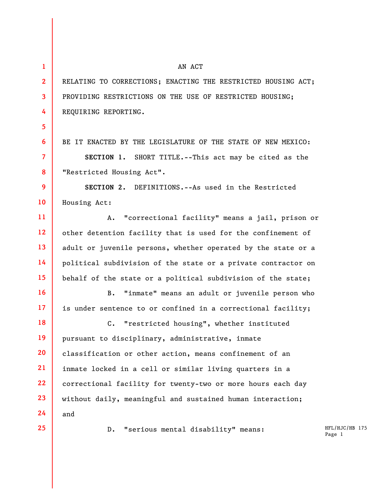**1 2 3 4 5 6 7 8 9 10 11 12 13 14 15 16 17 18 19 20 21 22 23 24 25**  AN ACT RELATING TO CORRECTIONS; ENACTING THE RESTRICTED HOUSING ACT; PROVIDING RESTRICTIONS ON THE USE OF RESTRICTED HOUSING; REQUIRING REPORTING. BE IT ENACTED BY THE LEGISLATURE OF THE STATE OF NEW MEXICO: **SECTION 1.** SHORT TITLE.--This act may be cited as the "Restricted Housing Act". **SECTION 2.** DEFINITIONS.--As used in the Restricted Housing Act: A. "correctional facility" means a jail, prison or other detention facility that is used for the confinement of adult or juvenile persons, whether operated by the state or a political subdivision of the state or a private contractor on behalf of the state or a political subdivision of the state; B. "inmate" means an adult or juvenile person who is under sentence to or confined in a correctional facility; C. "restricted housing", whether instituted pursuant to disciplinary, administrative, inmate classification or other action, means confinement of an inmate locked in a cell or similar living quarters in a correctional facility for twenty-two or more hours each day without daily, meaningful and sustained human interaction; and D. "serious mental disability" means:

HFL/HJC/HB 175 Page 1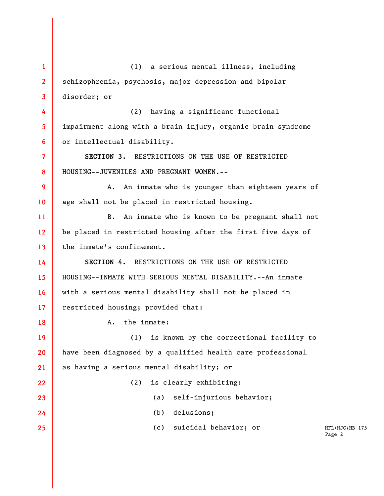HFL/HJC/HB 175 Page 2 **1 2 3 4 5 6 7 8 9 10 11 12 13 14 15 16 17 18 19 20 21 22 23 24 25**  (1) a serious mental illness, including schizophrenia, psychosis, major depression and bipolar disorder; or (2) having a significant functional impairment along with a brain injury, organic brain syndrome or intellectual disability. **SECTION 3.** RESTRICTIONS ON THE USE OF RESTRICTED HOUSING--JUVENILES AND PREGNANT WOMEN.-- A. An inmate who is younger than eighteen years of age shall not be placed in restricted housing. B. An inmate who is known to be pregnant shall not be placed in restricted housing after the first five days of the inmate's confinement. **SECTION 4.** RESTRICTIONS ON THE USE OF RESTRICTED HOUSING--INMATE WITH SERIOUS MENTAL DISABILITY.--An inmate with a serious mental disability shall not be placed in restricted housing; provided that: A. the inmate: (1) is known by the correctional facility to have been diagnosed by a qualified health care professional as having a serious mental disability; or (2) is clearly exhibiting: (a) self-injurious behavior; (b) delusions; (c) suicidal behavior; or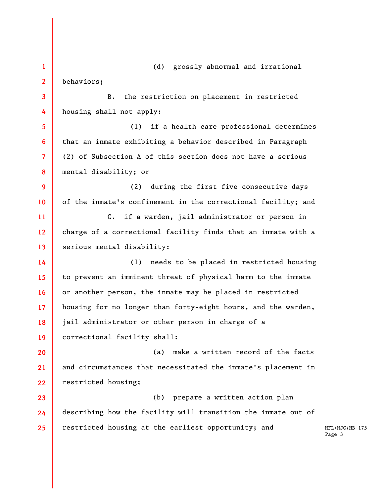HFL/HJC/HB 175 Page 3 **1 2 3 4 5 6 7 8 9 10 11 12 13 14 15 16 17 18 19 20 21 22 23 24 25**  (d) grossly abnormal and irrational behaviors; B. the restriction on placement in restricted housing shall not apply: (1) if a health care professional determines that an inmate exhibiting a behavior described in Paragraph (2) of Subsection A of this section does not have a serious mental disability; or (2) during the first five consecutive days of the inmate's confinement in the correctional facility; and C. if a warden, jail administrator or person in charge of a correctional facility finds that an inmate with a serious mental disability: (1) needs to be placed in restricted housing to prevent an imminent threat of physical harm to the inmate or another person, the inmate may be placed in restricted housing for no longer than forty-eight hours, and the warden, jail administrator or other person in charge of a correctional facility shall: (a) make a written record of the facts and circumstances that necessitated the inmate's placement in restricted housing; (b) prepare a written action plan describing how the facility will transition the inmate out of restricted housing at the earliest opportunity; and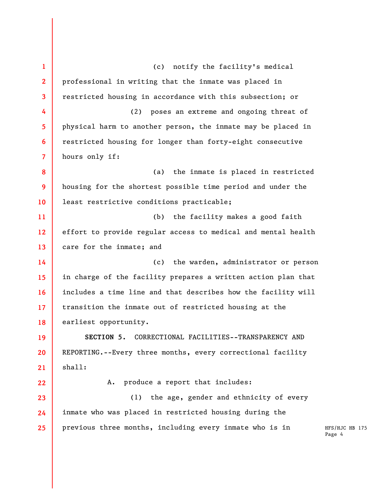HFS/HJC HB 175 Page 4 **1 2 3 4 5 6 7 8 9 10 11 12 13 14 15 16 17 18 19 20 21 22 23 24 25**  (c) notify the facility's medical professional in writing that the inmate was placed in restricted housing in accordance with this subsection; or (2) poses an extreme and ongoing threat of physical harm to another person, the inmate may be placed in restricted housing for longer than forty-eight consecutive hours only if: (a) the inmate is placed in restricted housing for the shortest possible time period and under the least restrictive conditions practicable; (b) the facility makes a good faith effort to provide regular access to medical and mental health care for the inmate; and (c) the warden, administrator or person in charge of the facility prepares a written action plan that includes a time line and that describes how the facility will transition the inmate out of restricted housing at the earliest opportunity. **SECTION 5.** CORRECTIONAL FACILITIES--TRANSPARENCY AND REPORTING.--Every three months, every correctional facility shall: A. produce a report that includes: (1) the age, gender and ethnicity of every inmate who was placed in restricted housing during the previous three months, including every inmate who is in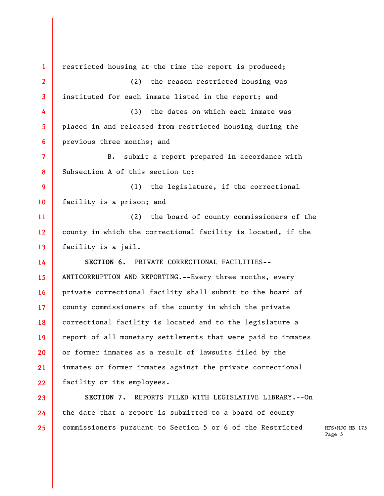**1 2 3 4 5 6 7 8 9 10 11 12 13 14 15 16 17 18 19 20 21 22 23 24**  restricted housing at the time the report is produced; (2) the reason restricted housing was instituted for each inmate listed in the report; and (3) the dates on which each inmate was placed in and released from restricted housing during the previous three months; and B. submit a report prepared in accordance with Subsection A of this section to: (1) the legislature, if the correctional facility is a prison; and (2) the board of county commissioners of the county in which the correctional facility is located, if the facility is a jail. **SECTION 6.** PRIVATE CORRECTIONAL FACILITIES-- ANTICORRUPTION AND REPORTING.--Every three months, every private correctional facility shall submit to the board of county commissioners of the county in which the private correctional facility is located and to the legislature a report of all monetary settlements that were paid to inmates or former inmates as a result of lawsuits filed by the inmates or former inmates against the private correctional facility or its employees. **SECTION 7.** REPORTS FILED WITH LEGISLATIVE LIBRARY.--On the date that a report is submitted to a board of county commissioners pursuant to Section 5 or 6 of the Restricted

**25** 

HFS/HJC HB 175 Page 5